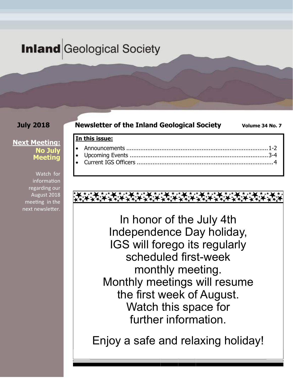# **Inland** Geological Society

**In this issue:** 

## **July 2018**

### **Newsletter of the Inland Geological Society Volume 34 No. 7**

### **Next Meeting: No July Meeting**

Watch for **information** regarding our August 2018 meeting in the next newsletter.

# In honor of the July 4th Independence Day holiday, IGS will forego its regularly scheduled first-week monthly meeting. Monthly meetings will resume the first week of August. Watch this space for further information.

Enjoy a safe and relaxing holiday!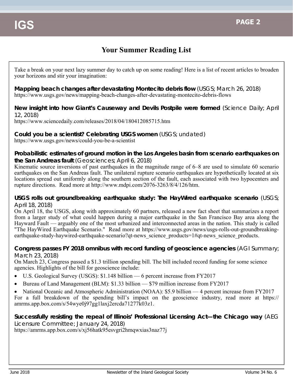# **Your Summer Reading List**

Take a break on your next lazy summer day to catch up on some reading! Here is a list of recent articles to broaden your horizons and stir your imagination:

**Mapping beach changes after devastating Montecito debris flow** (USGS; March 26, 2018) https://www.usgs.gov/news/mapping-beach-changes-after-devastating-montecito-debris-flows

#### **New insight into how Giant's Causeway and Devils Postpile were formed** (Science Daily; April 12, 2018)

https://www.sciencedaily.com/releases/2018/04/180412085715.htm

**Could you be a scientist? Celebrating USGS women** (USGS; undated) https://www.usgs.gov/news/could-you-be-a-scientist

#### **Probabilistic estimates of ground motion in the Los Angeles basin from scenario earthquakes on the San Andreas fault** (Geosciences; April 6, 2018)

Kinematic source inversions of past earthquakes in the magnitude range of 6–8 are used to simulate 60 scenario earthquakes on the San Andreas fault. The unilateral rupture scenario earthquakes are hypothetically located at six locations spread out uniformly along the southern section of the fault, each associated with two hypocenters and rupture directions. Read more at http://www.mdpi.com/2076-3263/8/4/126/htm.

#### **USGS rolls out groundbreaking earthquake study: The HayWired earthquake scenario** (USGS; April 18, 2018)

On April 18, the USGS, along with approximately 60 partners, released a new fact sheet that summarizes a report from a larger study of what could happen during a major earthquake in the San Francisco Bay area along the Hayward Fault — arguably one of the most urbanized and interconnected areas in the nation. This study is called "The HayWired Earthquake Scenario." Read more at https://www.usgs.gov/news/usgs-rolls-out-groundbreakingearthquake-study-haywired-earthquake-scenario?qt-news\_science\_products=1#qt-news\_science\_products.

#### **Congress passes FY 2018 omnibus with record funding of geoscience agencies** (AGI Summary; March 23, 2018)

On March 23, Congress passed a \$1.3 trillion spending bill. The bill included record funding for some science agencies. Highlights of the bill for geoscience include:

- U.S. Geological Survey (USGS): \$1.148 billion 6 percent increase from FY2017
- Bureau of Land Management (BLM): \$1.33 billion \$79 million increase from FY2017

• National Oceanic and Atmospheric Administration (NOAA): \$5.9 billion — 4 percent increase from FY2017 For a full breakdown of the spending bill's impact on the geoscience industry, read more at https:// amrms.app.box.com/s/54wye0j97gg1laxj2ercda71277k03z1.

## **Successfully resisting the repeal of Illinois' Professional Licensing Act—the Chicago way** (AEG Licensure Committee; January 24, 2018)

https://amrms.app.box.com/s/xj56hatk95esvgri2hmqwxias3naz77j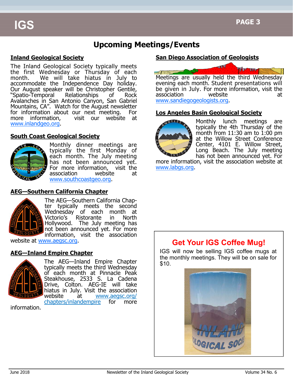# **Upcoming Meetings/Events**

#### **Inland Geological Society**

The Inland Geological Society typically meets the first Wednesday or Thursday of each month. We will take hiatus in July to accommodate the Independence Day holiday. Our August speaker will be Christopher Gentile, "Spatio-Temporal Relationships of Rock Avalanches in San Antonio Canyon, San Gabriel Mountains, CA". Watch for the August newsletter for information about our next meeting. For more information, visit our website at www.inlandgeo.org.

#### **South Coast Geological Society**



Monthly dinner meetings are typically the first Monday of each month. The July meeting has not been announced yet. For more information, visit the association website at www.southcoastgeo.org.

### **AEG—Southern California Chapter**



The AEG—Southern California Chapter typically meets the second Wednesday of each month at Victorio's Ristorante in North Hollywood. The July meeting has not been announced yet. For more information, visit the association

website at www.aegsc.org.

### **AEG—Inland Empire Chapter**



The AEG—Inland Empire Chapter typically meets the third Wednesday of each month at Pinnacle Peak Steakhouse, 2533 S. La Cadena Drive, Colton. AEG-IE will take hiatus in July. Visit the association website at www.aegsc.org/ chapters/inlandempire for more

information.





evening each month. Student presentations will be given in July. For more information, visit the association website at www.sandiegogeologists.org.

### **Los Angeles Basin Geological Society**



Monthly lunch meetings are typically the 4th Thursday of the month from  $11:30$  am to  $1:00$  pm at the Willow Street Conference Center, 4101 E. Willow Street, Long Beach. The July meeting has not been announced yet. For

more information, visit the association website at www.labgs.org.

# **Get Your IGS Coffee Mug!**

IGS will now be selling IGS coffee mugs at the monthly meetings. They will be on sale for \$10.